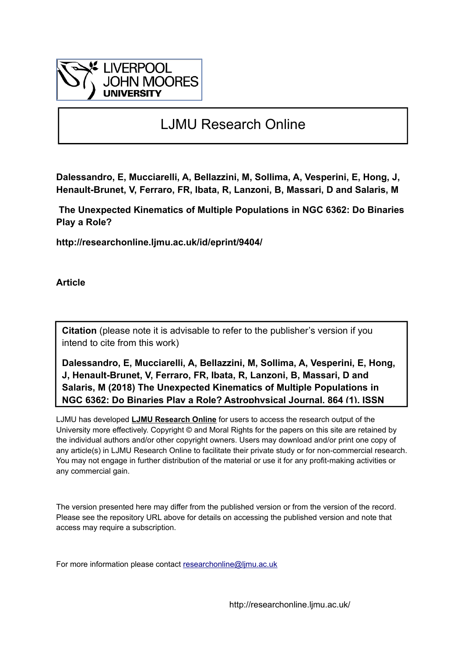

# LJMU Research Online

**Dalessandro, E, Mucciarelli, A, Bellazzini, M, Sollima, A, Vesperini, E, Hong, J, Henault-Brunet, V, Ferraro, FR, Ibata, R, Lanzoni, B, Massari, D and Salaris, M**

 **The Unexpected Kinematics of Multiple Populations in NGC 6362: Do Binaries Play a Role?**

**http://researchonline.ljmu.ac.uk/id/eprint/9404/**

**Article**

**Citation** (please note it is advisable to refer to the publisher's version if you intend to cite from this work)

**Dalessandro, E, Mucciarelli, A, Bellazzini, M, Sollima, A, Vesperini, E, Hong, J, Henault-Brunet, V, Ferraro, FR, Ibata, R, Lanzoni, B, Massari, D and Salaris, M (2018) The Unexpected Kinematics of Multiple Populations in NGC 6362: Do Binaries Play a Role? Astrophysical Journal, 864 (1). ISSN** 

LJMU has developed **[LJMU Research Online](http://researchonline.ljmu.ac.uk/)** for users to access the research output of the University more effectively. Copyright © and Moral Rights for the papers on this site are retained by the individual authors and/or other copyright owners. Users may download and/or print one copy of any article(s) in LJMU Research Online to facilitate their private study or for non-commercial research. You may not engage in further distribution of the material or use it for any profit-making activities or any commercial gain.

The version presented here may differ from the published version or from the version of the record. Please see the repository URL above for details on accessing the published version and note that access may require a subscription.

For more information please contact researchonline@limu.ac.uk

http://researchonline.ljmu.ac.uk/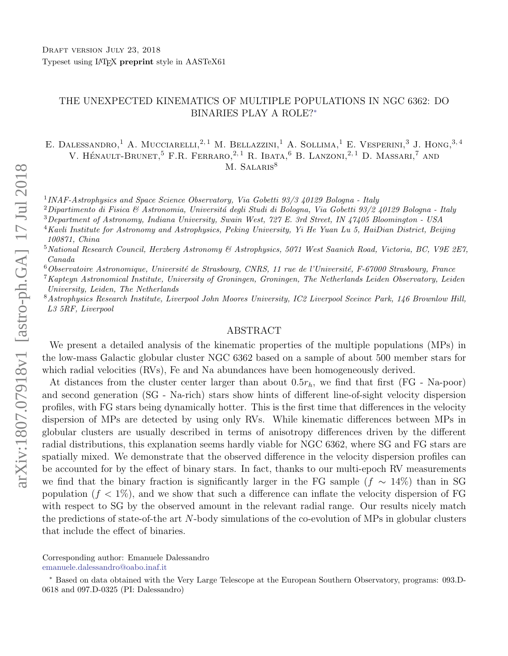## THE UNEXPECTED KINEMATICS OF MULTIPLE POPULATIONS IN NGC 6362: DO BINARIES PLAY A ROLE?[∗](#page-1-2)

E. DALESSANDRO,<sup>1</sup> A. MUCCIARELLI,<sup>2,1</sup> M. BELLAZZINI,<sup>1</sup> A. SOLLIMA,<sup>1</sup> E. VESPERINI,<sup>3</sup> J. HONG,<sup>3,4</sup> V. HÉNAULT-BRUNET.<sup>5</sup> F.R. FERRARO,<sup>2,1</sup> R. IBATA,<sup>6</sup> B. LANZONI,<sup>2,1</sup> D. MASSARI,<sup>7</sup> AND M. SALARIS<sup>8</sup>

<sup>1</sup> INAF-Astrophysics and Space Science Observatory, Via Gobetti 93/3 40129 Bologna - Italy

 $2$ Dipartimento di Fisica & Astronomia, Universitá degli Studi di Bologna, Via Gobetti 93/2 40129 Bologna - Italy

 $3$ Department of Astronomy, Indiana University, Swain West, 727 E. 3rd Street, IN 47405 Bloomington - USA

<sup>4</sup>Kavli Institute for Astronomy and Astrophysics, Peking University, Yi He Yuan Lu 5, HaiDian District, Beijing 100871, China

 $5$ National Research Council, Herzberg Astronomy & Astrophysics, 5071 West Saanich Road, Victoria, BC, V9E 2E7, Canada

 $6$ Observatoire Astronomique, Université de Strasbourg, CNRS, 11 rue de l'Université, F-67000 Strasbourg, France

 $7$ Kapteyn Astronomical Institute, University of Groningen, Groningen, The Netherlands Leiden Observatory, Leiden University, Leiden, The Netherlands

 $8$ Astrophysics Research Institute, Liverpool John Moores University, IC2 Liverpool Sceince Park, 146 Brownlow Hill, L3 5RF, Liverpool

#### ABSTRACT

We present a detailed analysis of the kinematic properties of the multiple populations (MPs) in the low-mass Galactic globular cluster NGC 6362 based on a sample of about 500 member stars for which radial velocities (RVs), Fe and Na abundances have been homogeneously derived.

At distances from the cluster center larger than about  $0.5r_h$ , we find that first (FG - Na-poor) and second generation (SG - Na-rich) stars show hints of different line-of-sight velocity dispersion profiles, with FG stars being dynamically hotter. This is the first time that differences in the velocity dispersion of MPs are detected by using only RVs. While kinematic differences between MPs in globular clusters are usually described in terms of anisotropy differences driven by the different radial distributions, this explanation seems hardly viable for NGC 6362, where SG and FG stars are spatially mixed. We demonstrate that the observed difference in the velocity dispersion profiles can be accounted for by the effect of binary stars. In fact, thanks to our multi-epoch RV measurements we find that the binary fraction is significantly larger in the FG sample  $(f \sim 14\%)$  than in SG population  $(f < 1\%)$ , and we show that such a difference can inflate the velocity dispersion of FG with respect to SG by the observed amount in the relevant radial range. Our results nicely match the predictions of state-of-the art N-body simulations of the co-evolution of MPs in globular clusters that include the effect of binaries.

<span id="page-1-1"></span><span id="page-1-0"></span>Corresponding author: Emanuele Dalessandro [emanuele.dalessandro@oabo.inaf.it](mailto: emanuele.dalessandro@oabo.inaf.it)

<span id="page-1-2"></span><sup>∗</sup> Based on data obtained with the Very Large Telescope at the European Southern Observatory, programs: 093.D-0618 and 097.D-0325 (PI: Dalessandro)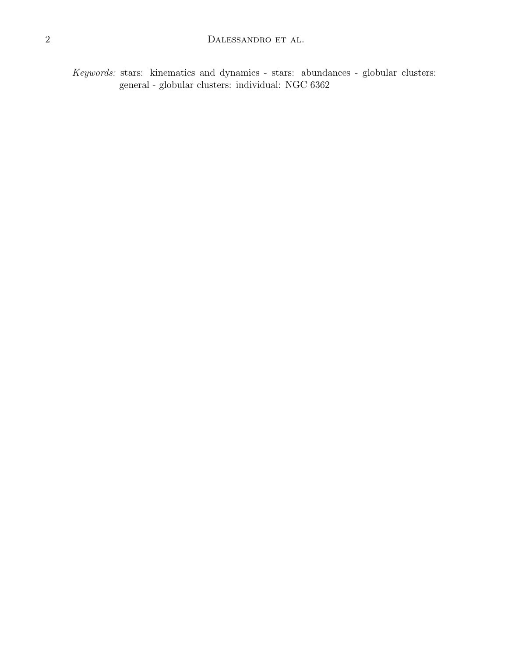Keywords: stars: kinematics and dynamics - stars: abundances - globular clusters: general - globular clusters: individual: NGC 6362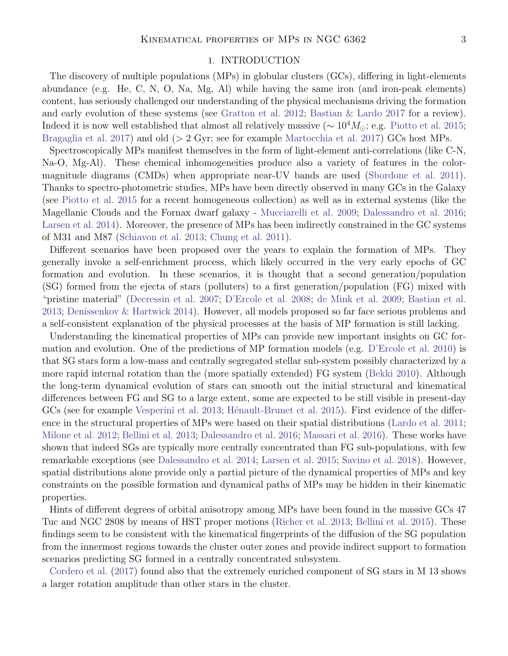## 1. INTRODUCTION

The discovery of multiple populations (MPs) in globular clusters (GCs), differing in light-elements abundance (e.g. He, C, N, O, Na, Mg, Al) while having the same iron (and iron-peak elements) content, has seriously challenged our understanding of the physical mechanisms driving the formation and early evolution of these systems (see [Gratton et al.](#page-17-0) [2012;](#page-17-0) [Bastian & Lardo](#page-17-1) [2017](#page-17-1) for a review). Indeed it is now well established that almost all relatively massive ( $\sim 10^4 M_{\odot}$ ; e.g. [Piotto et al.](#page-18-0) [2015;](#page-18-0) [Bragaglia et al.](#page-17-2) [2017\)](#page-17-2) and old (> 2 Gyr; see for example [Martocchia et al.](#page-17-3) [2017\)](#page-17-3) GCs host MPs.

Spectroscopically MPs manifest themselves in the form of light-element anti-correlations (like C-N, Na-O, Mg-Al). These chemical inhomogeneities produce also a variety of features in the colormagnitude diagrams (CMDs) when appropriate near-UV bands are used [\(Sbordone et al.](#page-18-1) [2011\)](#page-18-1). Thanks to spectro-photometric studies, MPs have been directly observed in many GCs in the Galaxy (see [Piotto et al.](#page-18-0) [2015](#page-18-0) for a recent homogeneous collection) as well as in external systems (like the Magellanic Clouds and the Fornax dwarf galaxy - [Mucciarelli et al.](#page-17-4) [2009;](#page-17-4) [Dalessandro et al.](#page-17-5) [2016;](#page-17-5) [Larsen et al.](#page-17-6) [2014\)](#page-17-6). Moreover, the presence of MPs has been indirectly constrained in the GC systems of M31 and M87 [\(Schiavon et al.](#page-18-2) [2013;](#page-18-2) [Chung et al.](#page-17-7) [2011\)](#page-17-7).

Different scenarios have been proposed over the years to explain the formation of MPs. They generally invoke a self-enrichment process, which likely occurred in the very early epochs of GC formation and evolution. In these scenarios, it is thought that a second generation/population (SG) formed from the ejecta of stars (polluters) to a first generation/population (FG) mixed with "pristine material" [\(Decressin et al.](#page-17-8) [2007;](#page-17-8) [D'Ercole et al.](#page-17-9) [2008;](#page-17-9) [de Mink et al.](#page-17-10) [2009;](#page-17-10) [Bastian et al.](#page-17-11) [2013;](#page-17-11) [Denissenkov & Hartwick](#page-17-12) [2014\)](#page-17-12). However, all models proposed so far face serious problems and a self-consistent explanation of the physical processes at the basis of MP formation is still lacking.

Understanding the kinematical properties of MPs can provide new important insights on GC formation and evolution. One of the predictions of MP formation models (e.g. [D'Ercole et al.](#page-17-13) [2010\)](#page-17-13) is that SG stars form a low-mass and centrally segregated stellar sub-system possibly characterized by a more rapid internal rotation than the (more spatially extended) FG system [\(Bekki](#page-17-14) [2010\)](#page-17-14). Although the long-term dynamical evolution of stars can smooth out the initial structural and kinematical differences between FG and SG to a large extent, some are expected to be still visible in present-day GCs (see for example [Vesperini et al.](#page-18-3) [2013;](#page-18-3) Hénault-Brunet et al. [2015\)](#page-17-15). First evidence of the difference in the structural properties of MPs were based on their spatial distributions [\(Lardo et al.](#page-17-16) [2011;](#page-17-16) [Milone et al.](#page-17-17) [2012;](#page-17-17) [Bellini et al.](#page-17-18) [2013;](#page-17-18) [Dalessandro et al.](#page-17-5) [2016;](#page-17-5) [Massari et al.](#page-17-19) [2016\)](#page-17-19). These works have shown that indeed SGs are typically more centrally concentrated than FG sub-populations, with few remarkable exceptions (see [Dalessandro et al.](#page-17-20) [2014;](#page-17-20) [Larsen et al.](#page-17-21) [2015;](#page-17-21) [Savino et al.](#page-18-4) [2018\)](#page-18-4). However, spatial distributions alone provide only a partial picture of the dynamical properties of MPs and key constraints on the possible formation and dynamical paths of MPs may be hidden in their kinematic properties.

Hints of different degrees of orbital anisotropy among MPs have been found in the massive GCs 47 Tuc and NGC 2808 by means of HST proper motions [\(Richer et al.](#page-18-5) [2013;](#page-18-5) [Bellini et al.](#page-17-22) [2015\)](#page-17-22). These findings seem to be consistent with the kinematical fingerprints of the diffusion of the SG population from the innermost regions towards the cluster outer zones and provide indirect support to formation scenarios predicting SG formed in a centrally concentrated subsystem.

[Cordero et al.](#page-17-23) [\(2017\)](#page-17-23) found also that the extremely enriched component of SG stars in M 13 shows a larger rotation amplitude than other stars in the cluster.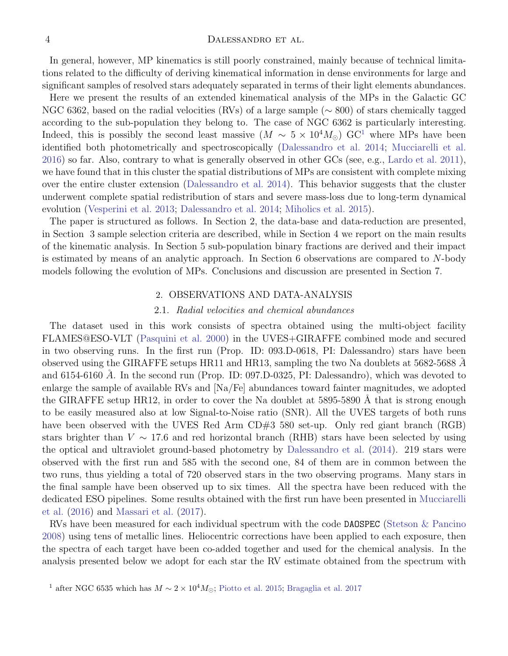In general, however, MP kinematics is still poorly constrained, mainly because of technical limitations related to the difficulty of deriving kinematical information in dense environments for large and significant samples of resolved stars adequately separated in terms of their light elements abundances.

Here we present the results of an extended kinematical analysis of the MPs in the Galactic GC NGC 6362, based on the radial velocities (RVs) of a large sample (∼ 800) of stars chemically tagged according to the sub-population they belong to. The case of NGC 6362 is particularly interesting. Indeed, this is possibly the second least massive  $(M \sim 5 \times 10^4 M_{\odot})$  $(M \sim 5 \times 10^4 M_{\odot})$  $(M \sim 5 \times 10^4 M_{\odot})$  GC<sup>1</sup> where MPs have been identified both photometrically and spectroscopically [\(Dalessandro et al.](#page-17-20) [2014;](#page-17-20) [Mucciarelli et al.](#page-18-6) [2016\)](#page-18-6) so far. Also, contrary to what is generally observed in other GCs (see, e.g., [Lardo et al.](#page-17-16) [2011\)](#page-17-16), we have found that in this cluster the spatial distributions of MPs are consistent with complete mixing over the entire cluster extension [\(Dalessandro et al.](#page-17-20) [2014\)](#page-17-20). This behavior suggests that the cluster underwent complete spatial redistribution of stars and severe mass-loss due to long-term dynamical evolution [\(Vesperini et al.](#page-18-3) [2013;](#page-18-3) [Dalessandro et al.](#page-17-20) [2014;](#page-17-20) [Miholics et al.](#page-17-24) [2015\)](#page-17-24).

The paper is structured as follows. In Section 2, the data-base and data-reduction are presented, in Section 3 sample selection criteria are described, while in Section 4 we report on the main results of the kinematic analysis. In Section 5 sub-population binary fractions are derived and their impact is estimated by means of an analytic approach. In Section 6 observations are compared to N-body models following the evolution of MPs. Conclusions and discussion are presented in Section 7.

## 2. OBSERVATIONS AND DATA-ANALYSIS

#### 2.1. Radial velocities and chemical abundances

The dataset used in this work consists of spectra obtained using the multi-object facility FLAMES@ESO-VLT [\(Pasquini et al.](#page-18-7) [2000\)](#page-18-7) in the UVES+GIRAFFE combined mode and secured in two observing runs. In the first run (Prop. ID: 093.D-0618, PI: Dalessandro) stars have been observed using the GIRAFFE setups HR11 and HR13, sampling the two Na doublets at  $5682-5688$  Å and 6154-6160  $\AA$ . In the second run (Prop. ID: 097.D-0325, PI: Dalessandro), which was devoted to enlarge the sample of available RVs and [Na/Fe] abundances toward fainter magnitudes, we adopted the GIRAFFE setup HR12, in order to cover the Na doublet at  $5895-5890$  Å that is strong enough to be easily measured also at low Signal-to-Noise ratio (SNR). All the UVES targets of both runs have been observed with the UVES Red Arm CD#3 580 set-up. Only red giant branch (RGB) stars brighter than  $V \sim 17.6$  and red horizontal branch (RHB) stars have been selected by using the optical and ultraviolet ground-based photometry by [Dalessandro et al.](#page-17-20) [\(2014\)](#page-17-20). 219 stars were observed with the first run and 585 with the second one, 84 of them are in common between the two runs, thus yielding a total of 720 observed stars in the two observing programs. Many stars in the final sample have been observed up to six times. All the spectra have been reduced with the dedicated ESO pipelines. Some results obtained with the first run have been presented in [Mucciarelli](#page-18-6) [et al.](#page-18-6) [\(2016\)](#page-18-6) and [Massari et al.](#page-17-25) [\(2017\)](#page-17-25).

RVs have been measured for each individual spectrum with the code DAOSPEC [\(Stetson & Pancino](#page-18-8) [2008\)](#page-18-8) using tens of metallic lines. Heliocentric corrections have been applied to each exposure, then the spectra of each target have been co-added together and used for the chemical analysis. In the analysis presented below we adopt for each star the RV estimate obtained from the spectrum with

<span id="page-4-0"></span><sup>&</sup>lt;sup>1</sup> after NGC 6535 which has  $M \sim 2 \times 10^4 M_{\odot}$ ; [Piotto et al.](#page-18-0) [2015;](#page-18-0) [Bragaglia et al.](#page-17-2) [2017](#page-17-2)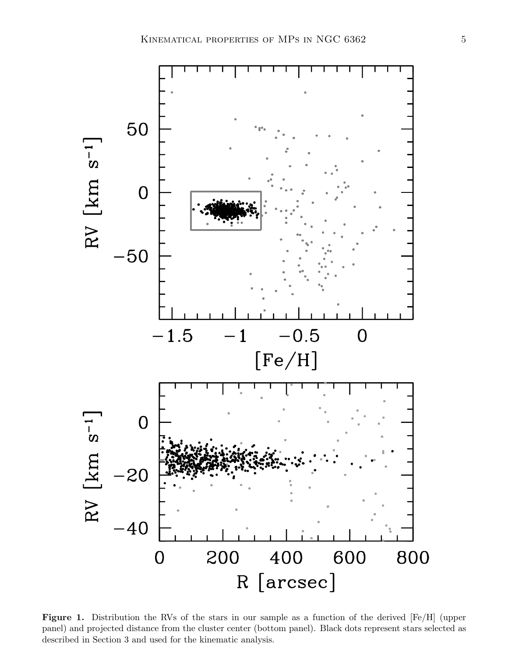

Figure 1. Distribution the RVs of the stars in our sample as a function of the derived [Fe/H] (upper panel) and projected distance from the cluster center (bottom panel). Black dots represent stars selected as described in Section 3 and used for the kinematic analysis.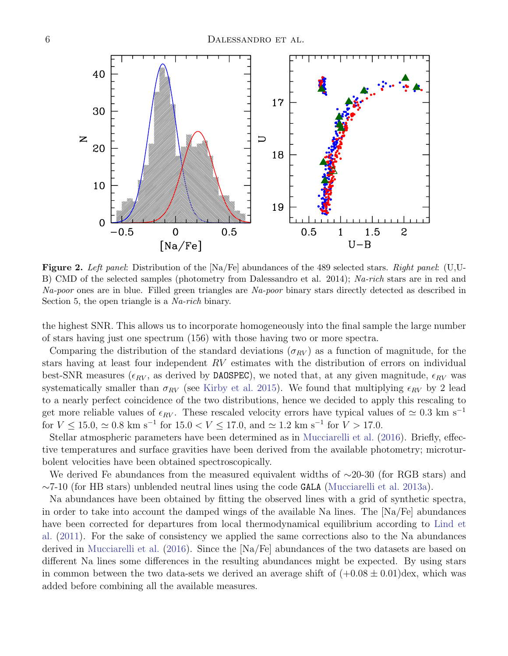

**Figure 2.** Left panel: Distribution of the  $[Na/Fe]$  abundances of the 489 selected stars. Right panel: (U,U-B) CMD of the selected samples (photometry from Dalessandro et al. 2014); Na-rich stars are in red and Na-poor ones are in blue. Filled green triangles are Na-poor binary stars directly detected as described in Section 5, the open triangle is a *Na-rich* binary.

the highest SNR. This allows us to incorporate homogeneously into the final sample the large number of stars having just one spectrum (156) with those having two or more spectra.

Comparing the distribution of the standard deviations ( $\sigma_{RV}$ ) as a function of magnitude, for the stars having at least four independent RV estimates with the distribution of errors on individual best-SNR measures ( $\epsilon_{RV}$ , as derived by DAOSPEC), we noted that, at any given magnitude,  $\epsilon_{RV}$  was systematically smaller than  $\sigma_{RV}$  (see [Kirby et al.](#page-17-26) [2015\)](#page-17-26). We found that multiplying  $\epsilon_{RV}$  by 2 lead to a nearly perfect coincidence of the two distributions, hence we decided to apply this rescaling to get more reliable values of  $\epsilon_{RV}$ . These rescaled velocity errors have typical values of  $\simeq 0.3$  km s<sup>-1</sup> for  $V \le 15.0$ ,  $\simeq 0.8$  km s<sup>-1</sup> for  $15.0 < V \le 17.0$ , and  $\simeq 1.2$  km s<sup>-1</sup> for  $V > 17.0$ .

Stellar atmospheric parameters have been determined as in [Mucciarelli et al.](#page-18-6) [\(2016\)](#page-18-6). Briefly, effective temperatures and surface gravities have been derived from the available photometry; microturbolent velocities have been obtained spectroscopically.

We derived Fe abundances from the measured equivalent widths of ∼20-30 (for RGB stars) and ∼7-10 (for HB stars) unblended neutral lines using the code GALA [\(Mucciarelli et al.](#page-18-9) [2013a\)](#page-18-9).

Na abundances have been obtained by fitting the observed lines with a grid of synthetic spectra, in order to take into account the damped wings of the available Na lines. The [Na/Fe] abundances have been corrected for departures from local thermodynamical equilibrium according to [Lind et](#page-17-27) [al.](#page-17-27) [\(2011\)](#page-17-27). For the sake of consistency we applied the same corrections also to the Na abundances derived in [Mucciarelli et al.](#page-18-6) [\(2016\)](#page-18-6). Since the [Na/Fe] abundances of the two datasets are based on different Na lines some differences in the resulting abundances might be expected. By using stars in common between the two data-sets we derived an average shift of  $(+0.08 \pm 0.01)$  dex, which was added before combining all the available measures.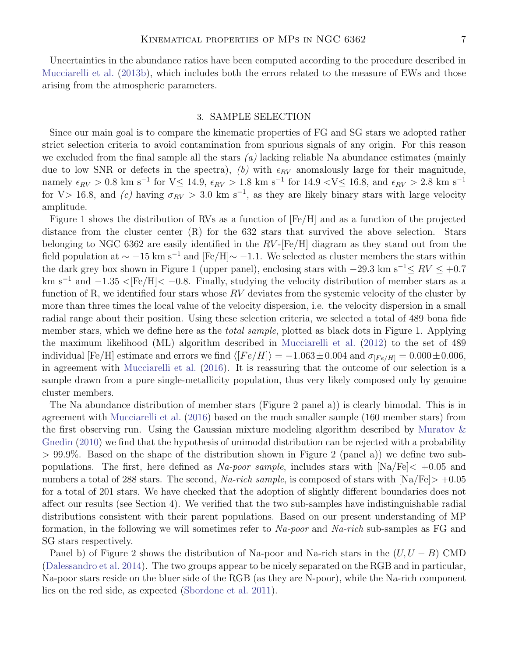Uncertainties in the abundance ratios have been computed according to the procedure described in [Mucciarelli et al.](#page-18-10) [\(2013b\)](#page-18-10), which includes both the errors related to the measure of EWs and those arising from the atmospheric parameters.

#### 3. SAMPLE SELECTION

Since our main goal is to compare the kinematic properties of FG and SG stars we adopted rather strict selection criteria to avoid contamination from spurious signals of any origin. For this reason we excluded from the final sample all the stars  $(a)$  lacking reliable Na abundance estimates (mainly due to low SNR or defects in the spectra), (b) with  $\epsilon_{RV}$  anomalously large for their magnitude, namely  $\epsilon_{RV} > 0.8$  km s<sup>-1</sup> for V $\leq 14.9$ ,  $\epsilon_{RV} > 1.8$  km s<sup>-1</sup> for 14.9 <V $\leq 16.8$ , and  $\epsilon_{RV} > 2.8$  km s<sup>-1</sup> for V> 16.8, and (c) having  $\sigma_{RV} > 3.0$  km s<sup>-1</sup>, as they are likely binary stars with large velocity amplitude.

Figure 1 shows the distribution of RVs as a function of [Fe/H] and as a function of the projected distance from the cluster center (R) for the 632 stars that survived the above selection. Stars belonging to NGC 6362 are easily identified in the  $RV$ -[Fe/H] diagram as they stand out from the field population at  $\sim -15$  km s<sup>-1</sup> and [Fe/H] $\sim -1.1$ . We selected as cluster members the stars within the dark grey box shown in Figure 1 (upper panel), enclosing stars with  $-29.3 \text{ km s}^{-1} \leq RV \leq +0.7$ km s<sup>-1</sup> and  $-1.35$  <[Fe/H]<  $-0.8$ . Finally, studying the velocity distribution of member stars as a function of R, we identified four stars whose  $RV$  deviates from the systemic velocity of the cluster by more than three times the local value of the velocity dispersion, i.e. the velocity dispersion in a small radial range about their position. Using these selection criteria, we selected a total of 489 bona fide member stars, which we define here as the *total sample*, plotted as black dots in Figure 1. Applying the maximum likelihood (ML) algorithm described in [Mucciarelli et al.](#page-17-28) [\(2012\)](#page-17-28) to the set of 489 individual [Fe/H] estimate and errors we find  $\langle [Fe/H] \rangle = -1.063 \pm 0.004$  and  $\sigma_{[Fe/H]} = 0.000 \pm 0.006$ , in agreement with [Mucciarelli et al.](#page-18-6) [\(2016\)](#page-18-6). It is reassuring that the outcome of our selection is a sample drawn from a pure single-metallicity population, thus very likely composed only by genuine cluster members.

The Na abundance distribution of member stars (Figure 2 panel a)) is clearly bimodal. This is in agreement with [Mucciarelli et al.](#page-18-6) [\(2016\)](#page-18-6) based on the much smaller sample (160 member stars) from the first observing run. Using the Gaussian mixture modeling algorithm described by [Muratov &](#page-18-11) [Gnedin](#page-18-11) [\(2010\)](#page-18-11) we find that the hypothesis of unimodal distribution can be rejected with a probability > 99.9%. Based on the shape of the distribution shown in Figure 2 (panel a)) we define two subpopulations. The first, here defined as Na-poor sample, includes stars with  $[Na/Fe]< +0.05$  and numbers a total of 288 stars. The second, Na-rich sample, is composed of stars with  $\text{[Na/Fe]} > +0.05$ for a total of 201 stars. We have checked that the adoption of slightly different boundaries does not affect our results (see Section 4). We verified that the two sub-samples have indistinguishable radial distributions consistent with their parent populations. Based on our present understanding of MP formation, in the following we will sometimes refer to  $Na$ -poor and  $Na$ -rich sub-samples as FG and SG stars respectively.

Panel b) of Figure 2 shows the distribution of Na-poor and Na-rich stars in the  $(U, U - B)$  CMD [\(Dalessandro et al.](#page-17-20) [2014\)](#page-17-20). The two groups appear to be nicely separated on the RGB and in particular, Na-poor stars reside on the bluer side of the RGB (as they are N-poor), while the Na-rich component lies on the red side, as expected [\(Sbordone et al.](#page-18-1) [2011\)](#page-18-1).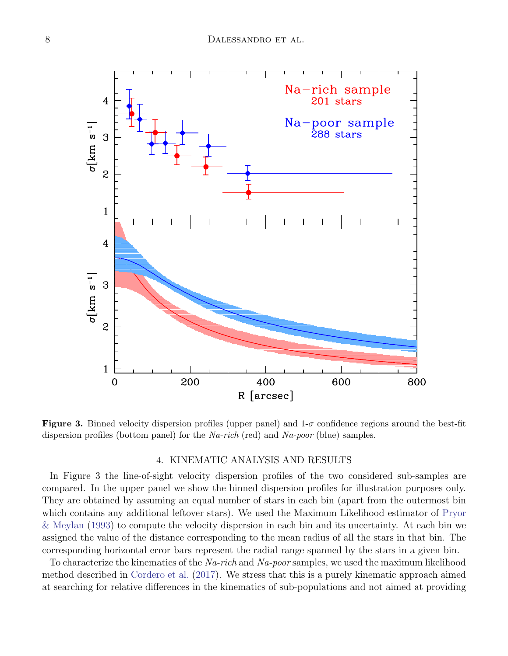

**Figure 3.** Binned velocity dispersion profiles (upper panel) and  $1-\sigma$  confidence regions around the best-fit dispersion profiles (bottom panel) for the  $Na$ -rich (red) and  $Na$ -poor (blue) samples.

## 4. KINEMATIC ANALYSIS AND RESULTS

In Figure 3 the line-of-sight velocity dispersion profiles of the two considered sub-samples are compared. In the upper panel we show the binned dispersion profiles for illustration purposes only. They are obtained by assuming an equal number of stars in each bin (apart from the outermost bin which contains any additional leftover stars). We used the Maximum Likelihood estimator of [Pryor](#page-18-12) [& Meylan](#page-18-12) [\(1993\)](#page-18-12) to compute the velocity dispersion in each bin and its uncertainty. At each bin we assigned the value of the distance corresponding to the mean radius of all the stars in that bin. The corresponding horizontal error bars represent the radial range spanned by the stars in a given bin.

To characterize the kinematics of the Na-rich and Na-poor samples, we used the maximum likelihood method described in [Cordero et al.](#page-17-23) [\(2017\)](#page-17-23). We stress that this is a purely kinematic approach aimed at searching for relative differences in the kinematics of sub-populations and not aimed at providing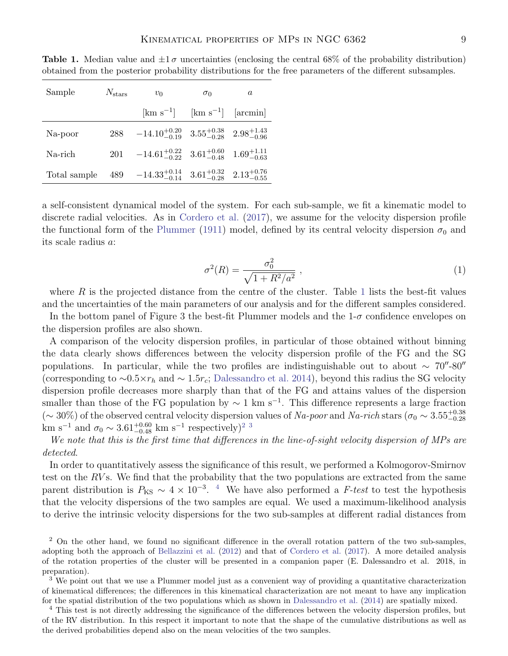| Sample       | $N_{\rm stars}$ | $v_0$                                                                      | $\sigma_0$ | $\alpha$                                                |
|--------------|-----------------|----------------------------------------------------------------------------|------------|---------------------------------------------------------|
|              |                 | $\rm [km\;s^{-1}]$                                                         |            | $\lceil \mathrm{km} \, \mathrm{s}^{-1} \rceil$ [arcmin] |
| Na-poor      |                 | 288 $-14.10^{+0.20}_{-0.19}$ $3.55^{+0.38}_{-0.28}$ $2.98^{+1.43}_{-0.96}$ |            |                                                         |
| Na-rich      |                 | 201 $-14.61_{-0.22}^{+0.22}$ $3.61_{-0.48}^{+0.60}$ $1.69_{-0.63}^{+1.11}$ |            |                                                         |
| Total sample |                 | 489 $-14.33_{-0.14}^{+0.14}$ $3.61_{-0.28}^{+0.32}$ $2.13_{-0.55}^{+0.76}$ |            |                                                         |

<span id="page-9-0"></span>**Table 1.** Median value and  $\pm 1\sigma$  uncertainties (enclosing the central 68% of the probability distribution) obtained from the posterior probability distributions for the free parameters of the different subsamples.

a self-consistent dynamical model of the system. For each sub-sample, we fit a kinematic model to discrete radial velocities. As in [Cordero et al.](#page-17-23) [\(2017\)](#page-17-23), we assume for the velocity dispersion profile the functional form of the [Plummer](#page-18-13) [\(1911\)](#page-18-13) model, defined by its central velocity dispersion  $\sigma_0$  and its scale radius a:

$$
\sigma^2(R) = \frac{\sigma_0^2}{\sqrt{1 + R^2/a^2}} \,,\tag{1}
$$

where  $R$  is the projected distance from the centre of the cluster. Table [1](#page-9-0) lists the best-fit values and the uncertainties of the main parameters of our analysis and for the different samples considered.

In the bottom panel of Figure 3 the best-fit Plummer models and the  $1-\sigma$  confidence envelopes on the dispersion profiles are also shown.

A comparison of the velocity dispersion profiles, in particular of those obtained without binning the data clearly shows differences between the velocity dispersion profile of the FG and the SG populations. In particular, while the two profiles are indistinguishable out to about  $\sim 70^{\prime\prime}$ -80 $^{\prime\prime}$ (corresponding to  $\sim 0.5 \times r_h$  and  $\sim 1.5r_c$ ; [Dalessandro et al.](#page-17-20) [2014\)](#page-17-20), beyond this radius the SG velocity dispersion profile decreases more sharply than that of the FG and attains values of the dispersion smaller than those of the FG population by  $\sim 1 \text{ km s}^{-1}$ . This difference represents a large fraction  $(\sim 30\%)$  of the observed central velocity dispersion values of Na-poor and Na-rich stars  $(\sigma_0 \sim 3.55^{+0.38}_{-0.28})$ km s<sup>-1</sup> and  $\sigma_0 \sim 3.61^{+0.60}_{-0.48}$  $\sigma_0 \sim 3.61^{+0.60}_{-0.48}$  $\sigma_0 \sim 3.61^{+0.60}_{-0.48}$  km s<sup>-1</sup> respectively)<sup>[2](#page-9-1)</sup><sup>3</sup>

We note that this is the first time that differences in the line-of-sight velocity dispersion of MPs are detected.

In order to quantitatively assess the significance of this result, we performed a Kolmogorov-Smirnov test on the RVs. We find that the probability that the two populations are extracted from the same parent distribution is  $P_{\text{KS}} \sim 4 \times 10^{-3}$  $P_{\text{KS}} \sim 4 \times 10^{-3}$  $P_{\text{KS}} \sim 4 \times 10^{-3}$ . <sup>4</sup> We have also performed a F-test to test the hypothesis that the velocity dispersions of the two samples are equal. We used a maximum-likelihood analysis to derive the intrinsic velocity dispersions for the two sub-samples at different radial distances from

<span id="page-9-1"></span><sup>2</sup> On the other hand, we found no significant difference in the overall rotation pattern of the two sub-samples, adopting both the approach of [Bellazzini et al.](#page-17-29) [\(2012\)](#page-17-29) and that of [Cordero et al.](#page-17-23) [\(2017\)](#page-17-23). A more detailed analysis of the rotation properties of the cluster will be presented in a companion paper (E. Dalessandro et al. 2018, in preparation).

<span id="page-9-2"></span><sup>3</sup> We point out that we use a Plummer model just as a convenient way of providing a quantitative characterization of kinematical differences; the differences in this kinematical characterization are not meant to have any implication for the spatial distribution of the two populations which as shown in [Dalessandro et al.](#page-17-20) [\(2014\)](#page-17-20) are spatially mixed.

<span id="page-9-3"></span><sup>4</sup> This test is not directly addressing the significance of the differences between the velocity dispersion profiles, but of the RV distribution. In this respect it important to note that the shape of the cumulative distributions as well as the derived probabilities depend also on the mean velocities of the two samples.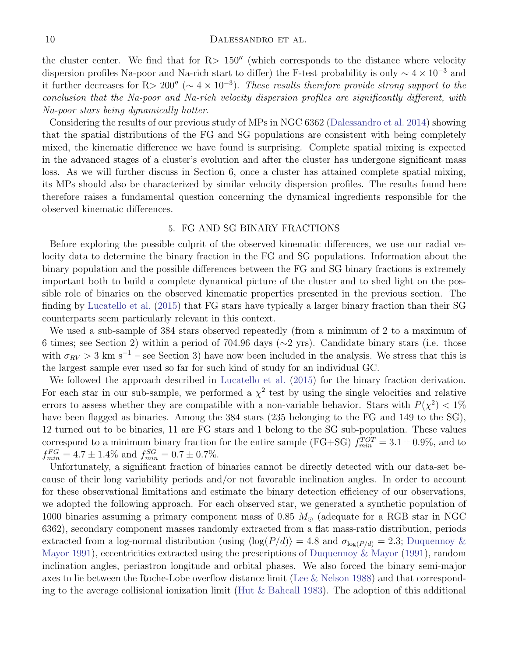the cluster center. We find that for  $R > 150''$  (which corresponds to the distance where velocity dispersion profiles Na-poor and Na-rich start to differ) the F-test probability is only  $\sim 4 \times 10^{-3}$  and it further decreases for R> 200" ( $\sim 4 \times 10^{-3}$ ). These results therefore provide strong support to the conclusion that the Na-poor and Na-rich velocity dispersion profiles are significantly different, with Na-poor stars being dynamically hotter.

Considering the results of our previous study of MPs in NGC 6362 [\(Dalessandro et al.](#page-17-20) [2014\)](#page-17-20) showing that the spatial distributions of the FG and SG populations are consistent with being completely mixed, the kinematic difference we have found is surprising. Complete spatial mixing is expected in the advanced stages of a cluster's evolution and after the cluster has undergone significant mass loss. As we will further discuss in Section 6, once a cluster has attained complete spatial mixing, its MPs should also be characterized by similar velocity dispersion profiles. The results found here therefore raises a fundamental question concerning the dynamical ingredients responsible for the observed kinematic differences.

### 5. FG AND SG BINARY FRACTIONS

Before exploring the possible culprit of the observed kinematic differences, we use our radial velocity data to determine the binary fraction in the FG and SG populations. Information about the binary population and the possible differences between the FG and SG binary fractions is extremely important both to build a complete dynamical picture of the cluster and to shed light on the possible role of binaries on the observed kinematic properties presented in the previous section. The finding by [Lucatello et al.](#page-17-30) [\(2015\)](#page-17-30) that FG stars have typically a larger binary fraction than their SG counterparts seem particularly relevant in this context.

We used a sub-sample of 384 stars observed repeatedly (from a minimum of 2 to a maximum of 6 times; see Section 2) within a period of 704.96 days (∼2 yrs). Candidate binary stars (i.e. those with  $\sigma_{RV} > 3$  km s<sup>-1</sup> – see Section 3) have now been included in the analysis. We stress that this is the largest sample ever used so far for such kind of study for an individual GC.

We followed the approach described in [Lucatello et al.](#page-17-30) [\(2015\)](#page-17-30) for the binary fraction derivation. For each star in our sub-sample, we performed a  $\chi^2$  test by using the single velocities and relative errors to assess whether they are compatible with a non-variable behavior. Stars with  $P(\chi^2) < 1\%$ have been flagged as binaries. Among the 384 stars (235 belonging to the FG and 149 to the SG), 12 turned out to be binaries, 11 are FG stars and 1 belong to the SG sub-population. These values correspond to a minimum binary fraction for the entire sample (FG+SG)  $f_{min}^{TOT} = 3.1 \pm 0.9\%$ , and to  $f_{min}^{FG} = 4.7 \pm 1.4\%$  and  $f_{min}^{SG} = 0.7 \pm 0.7\%.$ 

Unfortunately, a significant fraction of binaries cannot be directly detected with our data-set because of their long variability periods and/or not favorable inclination angles. In order to account for these observational limitations and estimate the binary detection efficiency of our observations, we adopted the following approach. For each observed star, we generated a synthetic population of 1000 binaries assuming a primary component mass of 0.85  $M_{\odot}$  (adequate for a RGB star in NGC 6362), secondary component masses randomly extracted from a flat mass-ratio distribution, periods extracted from a log-normal distribution (using  $\langle \log(P/d) \rangle = 4.8$  and  $\sigma_{\log(P/d)} = 2.3$ ; [Duquennoy &](#page-17-31) [Mayor](#page-17-31) [1991\)](#page-17-31), eccentricities extracted using the prescriptions of [Duquennoy & Mayor](#page-17-31) [\(1991\)](#page-17-31), random inclination angles, periastron longitude and orbital phases. We also forced the binary semi-major axes to lie between the Roche-Lobe overflow distance limit [\(Lee & Nelson](#page-17-32) [1988\)](#page-17-32) and that corresponding to the average collisional ionization limit [\(Hut & Bahcall](#page-17-33) [1983\)](#page-17-33). The adoption of this additional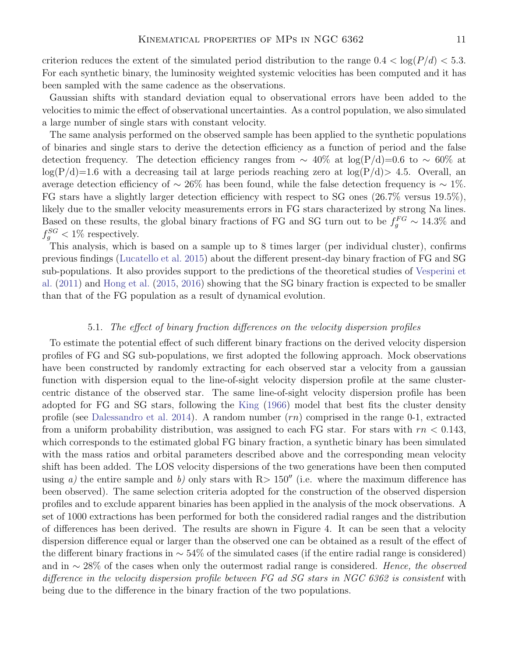criterion reduces the extent of the simulated period distribution to the range  $0.4 < \log(P/d) < 5.3$ . For each synthetic binary, the luminosity weighted systemic velocities has been computed and it has been sampled with the same cadence as the observations.

Gaussian shifts with standard deviation equal to observational errors have been added to the velocities to mimic the effect of observational uncertainties. As a control population, we also simulated a large number of single stars with constant velocity.

The same analysis performed on the observed sample has been applied to the synthetic populations of binaries and single stars to derive the detection efficiency as a function of period and the false detection frequency. The detection efficiency ranges from  $\sim 40\%$  at log(P/d)=0.6 to  $\sim 60\%$  at  $log(P/d)=1.6$  with a decreasing tail at large periods reaching zero at  $log(P/d) > 4.5$ . Overall, an average detection efficiency of  $\sim 26\%$  has been found, while the false detection frequency is  $\sim 1\%$ . FG stars have a slightly larger detection efficiency with respect to SG ones (26.7% versus 19.5%), likely due to the smaller velocity measurements errors in FG stars characterized by strong Na lines. Based on these results, the global binary fractions of FG and SG turn out to be  $f_g^{FG} \sim 14.3\%$  and  $f_g^{SG}$  < 1% respectively.

This analysis, which is based on a sample up to 8 times larger (per individual cluster), confirms previous findings [\(Lucatello et al.](#page-17-30) [2015\)](#page-17-30) about the different present-day binary fraction of FG and SG sub-populations. It also provides support to the predictions of the theoretical studies of [Vesperini et](#page-18-14) [al.](#page-18-14) [\(2011\)](#page-18-14) and [Hong et al.](#page-17-34) [\(2015,](#page-17-34) [2016\)](#page-17-35) showing that the SG binary fraction is expected to be smaller than that of the FG population as a result of dynamical evolution.

## 5.1. The effect of binary fraction differences on the velocity dispersion profiles

To estimate the potential effect of such different binary fractions on the derived velocity dispersion profiles of FG and SG sub-populations, we first adopted the following approach. Mock observations have been constructed by randomly extracting for each observed star a velocity from a gaussian function with dispersion equal to the line-of-sight velocity dispersion profile at the same clustercentric distance of the observed star. The same line-of-sight velocity dispersion profile has been adopted for FG and SG stars, following the [King](#page-17-36) [\(1966\)](#page-17-36) model that best fits the cluster density profile (see [Dalessandro et al.](#page-17-20) [2014\)](#page-17-20). A random number  $(rn)$  comprised in the range 0-1, extracted from a uniform probability distribution, was assigned to each FG star. For stars with  $rn < 0.143$ , which corresponds to the estimated global FG binary fraction, a synthetic binary has been simulated with the mass ratios and orbital parameters described above and the corresponding mean velocity shift has been added. The LOS velocity dispersions of the two generations have been then computed using a) the entire sample and b) only stars with  $R>150''$  (i.e. where the maximum difference has been observed). The same selection criteria adopted for the construction of the observed dispersion profiles and to exclude apparent binaries has been applied in the analysis of the mock observations. A set of 1000 extractions has been performed for both the considered radial ranges and the distribution of differences has been derived. The results are shown in Figure 4. It can be seen that a velocity dispersion difference equal or larger than the observed one can be obtained as a result of the effect of the different binary fractions in  $\sim$  54% of the simulated cases (if the entire radial range is considered) and in  $\sim$  28% of the cases when only the outermost radial range is considered. Hence, the observed difference in the velocity dispersion profile between FG ad SG stars in NGC 6362 is consistent with being due to the difference in the binary fraction of the two populations.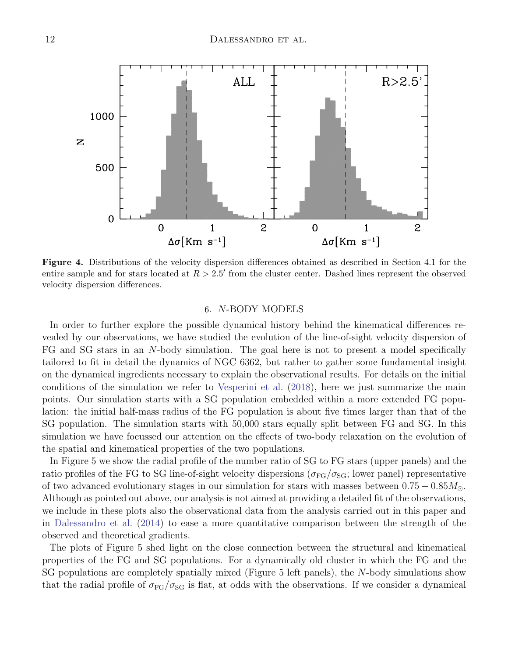

Figure 4. Distributions of the velocity dispersion differences obtained as described in Section 4.1 for the entire sample and for stars located at  $R > 2.5'$  from the cluster center. Dashed lines represent the observed velocity dispersion differences.

#### 6. N-BODY MODELS

In order to further explore the possible dynamical history behind the kinematical differences revealed by our observations, we have studied the evolution of the line-of-sight velocity dispersion of FG and SG stars in an N-body simulation. The goal here is not to present a model specifically tailored to fit in detail the dynamics of NGC 6362, but rather to gather some fundamental insight on the dynamical ingredients necessary to explain the observational results. For details on the initial conditions of the simulation we refer to [Vesperini et al.](#page-18-15) [\(2018\)](#page-18-15), here we just summarize the main points. Our simulation starts with a SG population embedded within a more extended FG population: the initial half-mass radius of the FG population is about five times larger than that of the SG population. The simulation starts with 50,000 stars equally split between FG and SG. In this simulation we have focussed our attention on the effects of two-body relaxation on the evolution of the spatial and kinematical properties of the two populations.

In Figure 5 we show the radial profile of the number ratio of SG to FG stars (upper panels) and the ratio profiles of the FG to SG line-of-sight velocity dispersions ( $\sigma_{FG}/\sigma_{SG}$ ; lower panel) representative of two advanced evolutionary stages in our simulation for stars with masses between  $0.75 - 0.85 M_{\odot}$ . Although as pointed out above, our analysis is not aimed at providing a detailed fit of the observations, we include in these plots also the observational data from the analysis carried out in this paper and in [Dalessandro et al.](#page-17-20) [\(2014\)](#page-17-20) to ease a more quantitative comparison between the strength of the observed and theoretical gradients.

The plots of Figure 5 shed light on the close connection between the structural and kinematical properties of the FG and SG populations. For a dynamically old cluster in which the FG and the SG populations are completely spatially mixed (Figure 5 left panels), the N-body simulations show that the radial profile of  $\sigma_{FG}/\sigma_{SG}$  is flat, at odds with the observations. If we consider a dynamical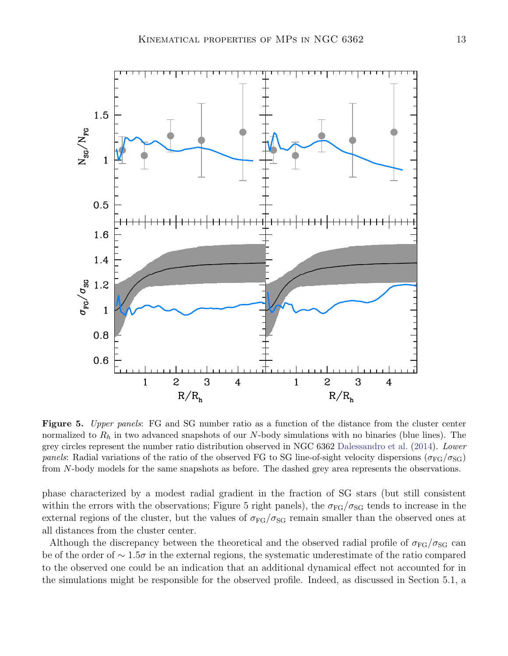

Figure 5. Upper panels: FG and SG number ratio as a function of the distance from the cluster center normalized to  $R_h$  in two advanced snapshots of our N-body simulations with no binaries (blue lines). The grey circles represent the number ratio distribution observed in NGC 6362 [Dalessandro et al.](#page-17-20) [\(2014\)](#page-17-20). Lower panels: Radial variations of the ratio of the observed FG to SG line-of-sight velocity dispersions ( $\sigma_{FG}/\sigma_{SG}$ ) from N-body models for the same snapshots as before. The dashed grey area represents the observations.

phase characterized by a modest radial gradient in the fraction of SG stars (but still consistent within the errors with the observations; Figure 5 right panels), the  $\sigma_{FG}/\sigma_{SG}$  tends to increase in the external regions of the cluster, but the values of  $\sigma_{FG}/\sigma_{SG}$  remain smaller than the observed ones at all distances from the cluster center.

Although the discrepancy between the theoretical and the observed radial profile of  $\sigma_{FG}/\sigma_{SG}$  can be of the order of ∼ 1.5σ in the external regions, the systematic underestimate of the ratio compared to the observed one could be an indication that an additional dynamical effect not accounted for in the simulations might be responsible for the observed profile. Indeed, as discussed in Section 5.1, a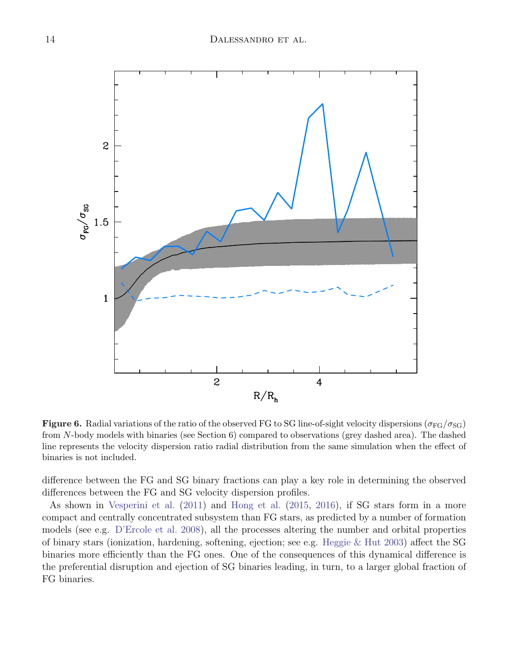

**Figure 6.** Radial variations of the ratio of the observed FG to SG line-of-sight velocity dispersions ( $\sigma_{FG}/\sigma_{SG}$ ) from N-body models with binaries (see Section 6) compared to observations (grey dashed area). The dashed line represents the velocity dispersion ratio radial distribution from the same simulation when the effect of binaries is not included.

difference between the FG and SG binary fractions can play a key role in determining the observed differences between the FG and SG velocity dispersion profiles.

As shown in [Vesperini et al.](#page-18-14) [\(2011\)](#page-18-14) and [Hong et al.](#page-17-34) [\(2015,](#page-17-34) [2016\)](#page-17-35), if SG stars form in a more compact and centrally concentrated subsystem than FG stars, as predicted by a number of formation models (see e.g. [D'Ercole et al.](#page-17-9) [2008\)](#page-17-9), all the processes altering the number and orbital properties of binary stars (ionization, hardening, softening, ejection; see e.g. [Heggie & Hut](#page-17-37) [2003\)](#page-17-37) affect the SG binaries more efficiently than the FG ones. One of the consequences of this dynamical difference is the preferential disruption and ejection of SG binaries leading, in turn, to a larger global fraction of FG binaries.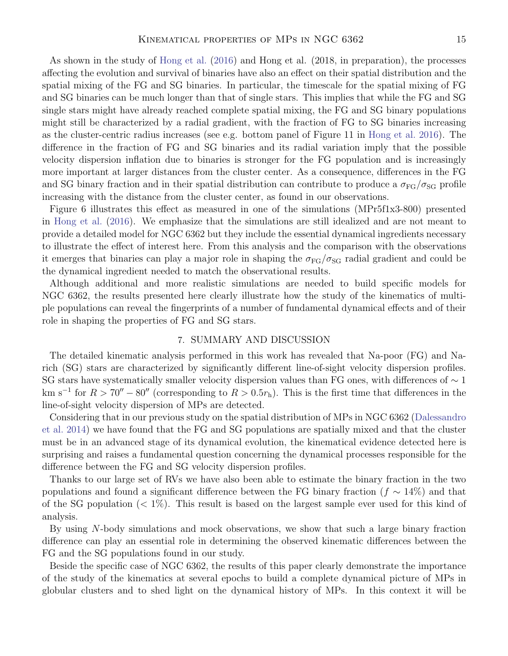As shown in the study of [Hong et al.](#page-17-35) [\(2016\)](#page-17-35) and Hong et al. (2018, in preparation), the processes affecting the evolution and survival of binaries have also an effect on their spatial distribution and the spatial mixing of the FG and SG binaries. In particular, the timescale for the spatial mixing of FG and SG binaries can be much longer than that of single stars. This implies that while the FG and SG single stars might have already reached complete spatial mixing, the FG and SG binary populations might still be characterized by a radial gradient, with the fraction of FG to SG binaries increasing as the cluster-centric radius increases (see e.g. bottom panel of Figure 11 in [Hong et al.](#page-17-35) [2016\)](#page-17-35). The difference in the fraction of FG and SG binaries and its radial variation imply that the possible velocity dispersion inflation due to binaries is stronger for the FG population and is increasingly more important at larger distances from the cluster center. As a consequence, differences in the FG and SG binary fraction and in their spatial distribution can contribute to produce a  $\sigma_{FG}/\sigma_{SG}$  profile increasing with the distance from the cluster center, as found in our observations.

Figure 6 illustrates this effect as measured in one of the simulations (MPr5f1x3-800) presented in [Hong et al.](#page-17-35) [\(2016\)](#page-17-35). We emphasize that the simulations are still idealized and are not meant to provide a detailed model for NGC 6362 but they include the essential dynamical ingredients necessary to illustrate the effect of interest here. From this analysis and the comparison with the observations it emerges that binaries can play a major role in shaping the  $\sigma_{FG}/\sigma_{SG}$  radial gradient and could be the dynamical ingredient needed to match the observational results.

Although additional and more realistic simulations are needed to build specific models for NGC 6362, the results presented here clearly illustrate how the study of the kinematics of multiple populations can reveal the fingerprints of a number of fundamental dynamical effects and of their role in shaping the properties of FG and SG stars.

## 7. SUMMARY AND DISCUSSION

The detailed kinematic analysis performed in this work has revealed that Na-poor (FG) and Narich (SG) stars are characterized by significantly different line-of-sight velocity dispersion profiles. SG stars have systematically smaller velocity dispersion values than FG ones, with differences of  $\sim$  1 km s<sup>-1</sup> for  $R > 70'' - 80''$  (corresponding to  $R > 0.5r<sub>h</sub>$ ). This is the first time that differences in the line-of-sight velocity dispersion of MPs are detected.

Considering that in our previous study on the spatial distribution of MPs in NGC 6362 [\(Dalessandro](#page-17-20) [et al.](#page-17-20) [2014\)](#page-17-20) we have found that the FG and SG populations are spatially mixed and that the cluster must be in an advanced stage of its dynamical evolution, the kinematical evidence detected here is surprising and raises a fundamental question concerning the dynamical processes responsible for the difference between the FG and SG velocity dispersion profiles.

Thanks to our large set of RVs we have also been able to estimate the binary fraction in the two populations and found a significant difference between the FG binary fraction ( $f \sim 14\%$ ) and that of the SG population  $(< 1\%)$ . This result is based on the largest sample ever used for this kind of analysis.

By using  $N$ -body simulations and mock observations, we show that such a large binary fraction difference can play an essential role in determining the observed kinematic differences between the FG and the SG populations found in our study.

Beside the specific case of NGC 6362, the results of this paper clearly demonstrate the importance of the study of the kinematics at several epochs to build a complete dynamical picture of MPs in globular clusters and to shed light on the dynamical history of MPs. In this context it will be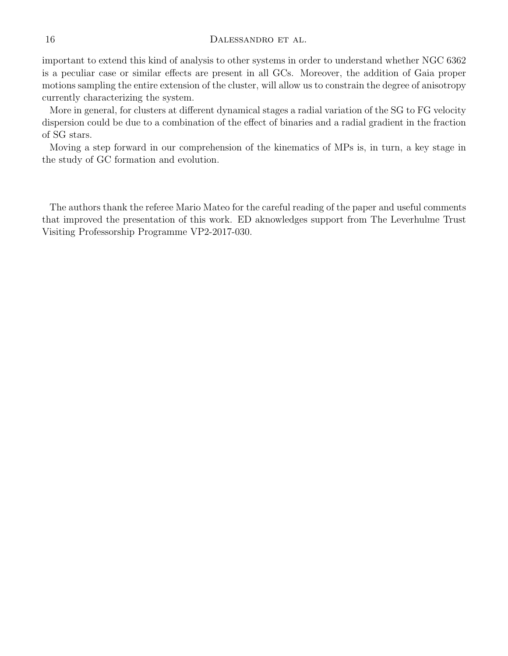#### 16 DALESSANDRO ET AL.

important to extend this kind of analysis to other systems in order to understand whether NGC 6362 is a peculiar case or similar effects are present in all GCs. Moreover, the addition of Gaia proper motions sampling the entire extension of the cluster, will allow us to constrain the degree of anisotropy currently characterizing the system.

More in general, for clusters at different dynamical stages a radial variation of the SG to FG velocity dispersion could be due to a combination of the effect of binaries and a radial gradient in the fraction of SG stars.

Moving a step forward in our comprehension of the kinematics of MPs is, in turn, a key stage in the study of GC formation and evolution.

The authors thank the referee Mario Mateo for the careful reading of the paper and useful comments that improved the presentation of this work. ED aknowledges support from The Leverhulme Trust Visiting Professorship Programme VP2-2017-030.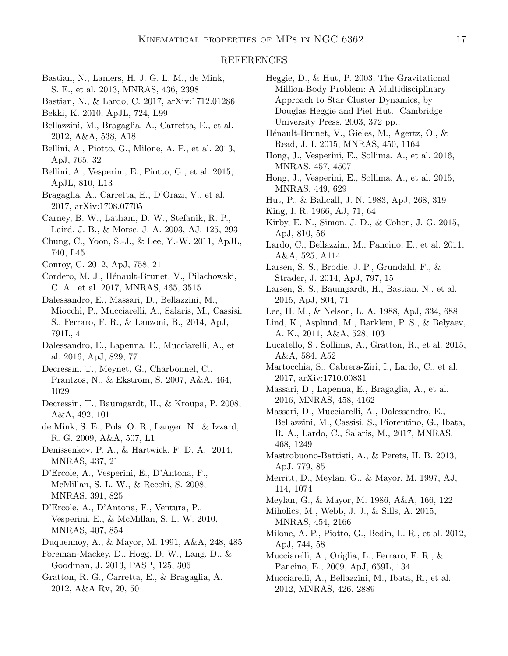#### REFERENCES

- <span id="page-17-11"></span>Bastian, N., Lamers, H. J. G. L. M., de Mink, S. E., et al. 2013, MNRAS, 436, 2398
- <span id="page-17-1"></span>Bastian, N., & Lardo, C. 2017, arXiv:1712.01286
- <span id="page-17-14"></span>Bekki, K. 2010, ApJL, 724, L99
- <span id="page-17-29"></span>Bellazzini, M., Bragaglia, A., Carretta, E., et al. 2012, A&A, 538, A18
- <span id="page-17-18"></span>Bellini, A., Piotto, G., Milone, A. P., et al. 2013, ApJ, 765, 32
- <span id="page-17-22"></span>Bellini, A., Vesperini, E., Piotto, G., et al. 2015, ApJL, 810, L13
- <span id="page-17-2"></span>Bragaglia, A., Carretta, E., D'Orazi, V., et al. 2017, arXiv:1708.07705
- Carney, B. W., Latham, D. W., Stefanik, R. P., Laird, J. B., & Morse, J. A. 2003, AJ, 125, 293
- <span id="page-17-7"></span>Chung, C., Yoon, S.-J., & Lee, Y.-W. 2011, ApJL, 740, L45
- Conroy, C. 2012, ApJ, 758, 21
- <span id="page-17-23"></span>Cordero, M. J., Hénault-Brunet, V., Pilachowski, C. A., et al. 2017, MNRAS, 465, 3515
- <span id="page-17-20"></span>Dalessandro, E., Massari, D., Bellazzini, M., Miocchi, P., Mucciarelli, A., Salaris, M., Cassisi, S., Ferraro, F. R., & Lanzoni, B., 2014, ApJ, 791L, 4
- <span id="page-17-5"></span>Dalessandro, E., Lapenna, E., Mucciarelli, A., et al. 2016, ApJ, 829, 77
- <span id="page-17-8"></span>Decressin, T., Meynet, G., Charbonnel, C., Prantzos, N., & Ekström, S. 2007, A&A, 464, 1029
- Decressin, T., Baumgardt, H., & Kroupa, P. 2008, A&A, 492, 101
- <span id="page-17-10"></span>de Mink, S. E., Pols, O. R., Langer, N., & Izzard, R. G. 2009, A&A, 507, L1
- <span id="page-17-12"></span>Denissenkov, P. A., & Hartwick, F. D. A. 2014, MNRAS, 437, 21
- <span id="page-17-9"></span>D'Ercole, A., Vesperini, E., D'Antona, F., McMillan, S. L. W., & Recchi, S. 2008, MNRAS, 391, 825
- <span id="page-17-13"></span>D'Ercole, A., D'Antona, F., Ventura, P., Vesperini, E., & McMillan, S. L. W. 2010, MNRAS, 407, 854
- <span id="page-17-31"></span>Duquennoy, A., & Mayor, M. 1991, A&A, 248, 485
- Foreman-Mackey, D., Hogg, D. W., Lang, D., & Goodman, J. 2013, PASP, 125, 306
- <span id="page-17-0"></span>Gratton, R. G., Carretta, E., & Bragaglia, A. 2012, A&A Rv, 20, 50
- <span id="page-17-37"></span>Heggie, D., & Hut, P. 2003, The Gravitational Million-Body Problem: A Multidisciplinary Approach to Star Cluster Dynamics, by Douglas Heggie and Piet Hut. Cambridge University Press, 2003, 372 pp.,
- <span id="page-17-15"></span>Hénault-Brunet, V., Gieles, M., Agertz, O., & Read, J. I. 2015, MNRAS, 450, 1164
- <span id="page-17-35"></span>Hong, J., Vesperini, E., Sollima, A., et al. 2016, MNRAS, 457, 4507
- <span id="page-17-34"></span>Hong, J., Vesperini, E., Sollima, A., et al. 2015, MNRAS, 449, 629
- <span id="page-17-33"></span>Hut, P., & Bahcall, J. N. 1983, ApJ, 268, 319
- <span id="page-17-36"></span>King, I. R. 1966, AJ, 71, 64
- <span id="page-17-26"></span>Kirby, E. N., Simon, J. D., & Cohen, J. G. 2015, ApJ, 810, 56
- <span id="page-17-16"></span>Lardo, C., Bellazzini, M., Pancino, E., et al. 2011, A&A, 525, A114
- <span id="page-17-6"></span>Larsen, S. S., Brodie, J. P., Grundahl, F., & Strader, J. 2014, ApJ, 797, 15
- <span id="page-17-21"></span>Larsen, S. S., Baumgardt, H., Bastian, N., et al. 2015, ApJ, 804, 71
- <span id="page-17-32"></span>Lee, H. M., & Nelson, L. A. 1988, ApJ, 334, 688
- <span id="page-17-27"></span>Lind, K., Asplund, M., Barklem, P. S., & Belyaev, A. K., 2011, A&A, 528, 103
- <span id="page-17-30"></span>Lucatello, S., Sollima, A., Gratton, R., et al. 2015, A&A, 584, A52
- <span id="page-17-3"></span>Martocchia, S., Cabrera-Ziri, I., Lardo, C., et al. 2017, arXiv:1710.00831
- <span id="page-17-19"></span>Massari, D., Lapenna, E., Bragaglia, A., et al. 2016, MNRAS, 458, 4162
- <span id="page-17-25"></span>Massari, D., Mucciarelli, A., Dalessandro, E., Bellazzini, M., Cassisi, S., Fiorentino, G., Ibata, R. A., Lardo, C., Salaris, M., 2017, MNRAS, 468, 1249
- Mastrobuono-Battisti, A., & Perets, H. B. 2013, ApJ, 779, 85
- Merritt, D., Meylan, G., & Mayor, M. 1997, AJ, 114, 1074
- Meylan, G., & Mayor, M. 1986, A&A, 166, 122
- <span id="page-17-24"></span>Miholics, M., Webb, J. J., & Sills, A. 2015, MNRAS, 454, 2166
- <span id="page-17-17"></span>Milone, A. P., Piotto, G., Bedin, L. R., et al. 2012, ApJ, 744, 58
- <span id="page-17-4"></span>Mucciarelli, A., Origlia, L., Ferraro, F. R., & Pancino, E., 2009, ApJ, 659L, 134
- <span id="page-17-28"></span>Mucciarelli, A., Bellazzini, M., Ibata, R., et al. 2012, MNRAS, 426, 2889